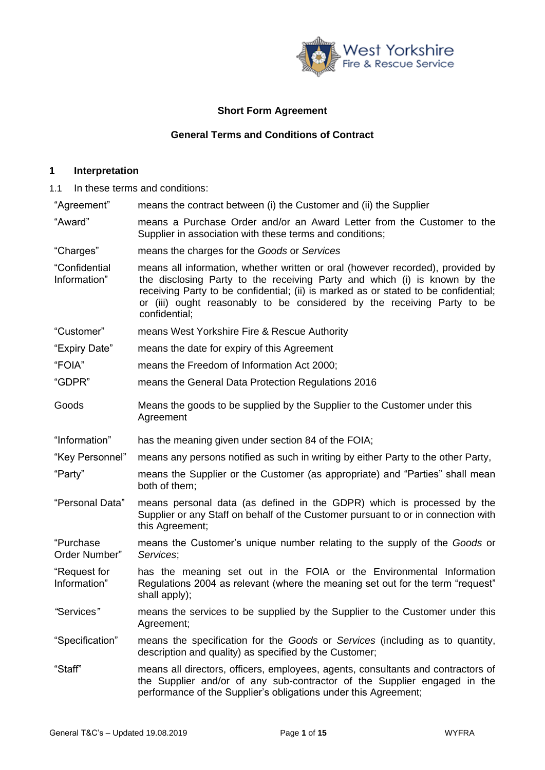

# **Short Form Agreement**

## **General Terms and Conditions of Contract**

### **1 Interpretation**

1.1 In these terms and conditions:

"Agreement" means the contract between (i) the Customer and (ii) the Supplier

- "Award" means a Purchase Order and/or an Award Letter from the Customer to the Supplier in association with these terms and conditions;
- "Charges" means the charges for the *Goods* or *Services*
- "Confidential Information" means all information, whether written or oral (however recorded), provided by the disclosing Party to the receiving Party and which (i) is known by the receiving Party to be confidential; (ii) is marked as or stated to be confidential; or (iii) ought reasonably to be considered by the receiving Party to be confidential;
- "Customer" means West Yorkshire Fire & Rescue Authority
- "Expiry Date" means the date for expiry of this Agreement
- "FOIA" means the Freedom of Information Act 2000;
- "GDPR" means the General Data Protection Regulations 2016
- Goods Means the goods to be supplied by the Supplier to the Customer under this **Agreement**
- "Information" has the meaning given under section 84 of the FOIA;
- "Key Personnel" means any persons notified as such in writing by either Party to the other Party,
- "Party" means the Supplier or the Customer (as appropriate) and "Parties" shall mean both of them;
- "Personal Data" means personal data (as defined in the GDPR) which is processed by the Supplier or any Staff on behalf of the Customer pursuant to or in connection with this Agreement;
- "Purchase Order Number" means the Customer's unique number relating to the supply of the *Goods* or *Services*;
- "Request for Information" has the meaning set out in the FOIA or the Environmental Information Regulations 2004 as relevant (where the meaning set out for the term "request" shall apply);
- *"*Services*"* means the services to be supplied by the Supplier to the Customer under this Agreement;
- "Specification" means the specification for the *Goods* or *Services* (including as to quantity, description and quality) as specified by the Customer;
- "Staff" means all directors, officers, employees, agents, consultants and contractors of the Supplier and/or of any sub-contractor of the Supplier engaged in the performance of the Supplier's obligations under this Agreement;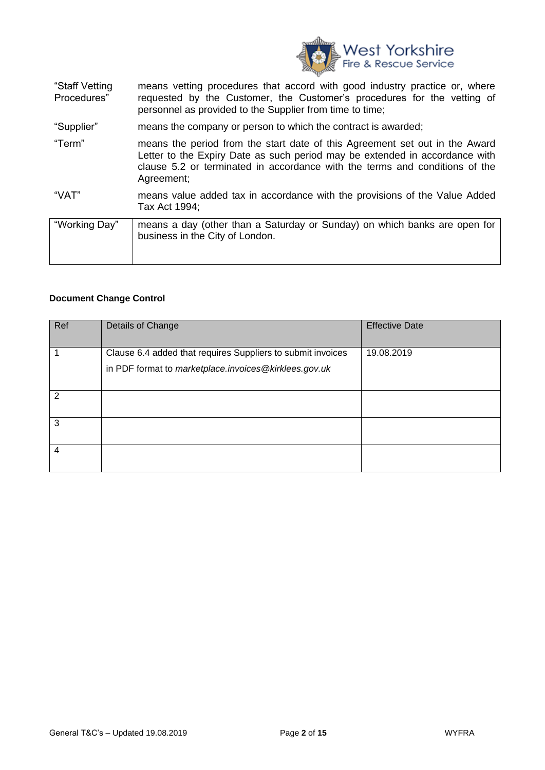

| "Staff Vetting | means vetting procedures that accord with good industry practice or, where                                                          |  |
|----------------|-------------------------------------------------------------------------------------------------------------------------------------|--|
| Procedures"    | requested by the Customer, the Customer's procedures for the vetting of<br>personnel as provided to the Supplier from time to time; |  |
| "Supplier"     | means the company or person to which the contract is awarded;                                                                       |  |

- "Term" means the period from the start date of this Agreement set out in the Award Letter to the Expiry Date as such period may be extended in accordance with clause [5.2](#page-4-0) or terminated in accordance with the terms and conditions of the Agreement;
- "VAT" means value added tax in accordance with the provisions of the Value Added Tax Act 1994;

| "Working Day" | means a day (other than a Saturday or Sunday) on which banks are open for<br>business in the City of London. |
|---------------|--------------------------------------------------------------------------------------------------------------|
|               |                                                                                                              |

#### **Document Change Control**

| Ref | Details of Change                                           | <b>Effective Date</b> |
|-----|-------------------------------------------------------------|-----------------------|
|     | Clause 6.4 added that requires Suppliers to submit invoices | 19.08.2019            |
|     | in PDF format to marketplace.invoices@kirklees.gov.uk       |                       |
|     |                                                             |                       |
| 2   |                                                             |                       |
|     |                                                             |                       |
| 3   |                                                             |                       |
|     |                                                             |                       |
| 4   |                                                             |                       |
|     |                                                             |                       |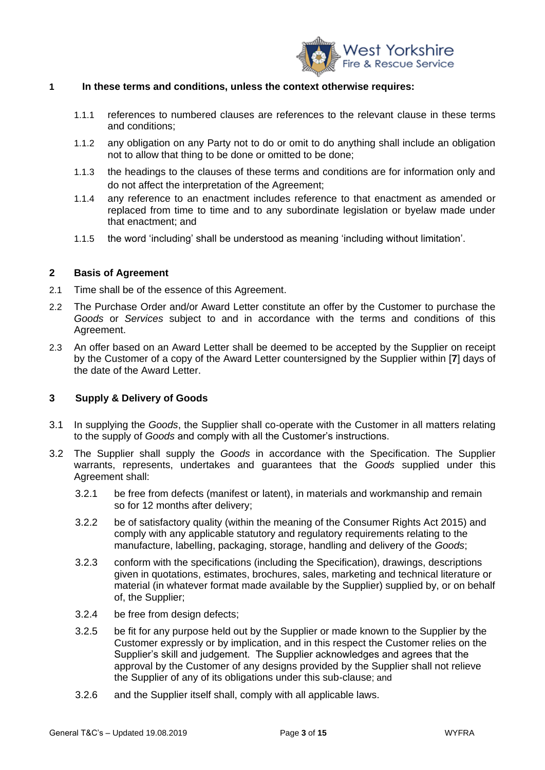

#### **1 In these terms and conditions, unless the context otherwise requires:**

- 1.1.1 references to numbered clauses are references to the relevant clause in these terms and conditions;
- 1.1.2 any obligation on any Party not to do or omit to do anything shall include an obligation not to allow that thing to be done or omitted to be done;
- 1.1.3 the headings to the clauses of these terms and conditions are for information only and do not affect the interpretation of the Agreement;
- 1.1.4 any reference to an enactment includes reference to that enactment as amended or replaced from time to time and to any subordinate legislation or byelaw made under that enactment; and
- 1.1.5 the word 'including' shall be understood as meaning 'including without limitation'.

#### <span id="page-2-1"></span>**2 Basis of Agreement**

- 2.1 Time shall be of the essence of this Agreement.
- 2.2 The Purchase Order and/or Award Letter constitute an offer by the Customer to purchase the *Goods* or *Services* subject to and in accordance with the terms and conditions of this Agreement.
- 2.3 An offer based on an Award Letter shall be deemed to be accepted by the Supplier on receipt by the Customer of a copy of the Award Letter countersigned by the Supplier within [**7**] days of the date of the Award Letter.

#### <span id="page-2-0"></span>**3 Supply & Delivery of Goods**

- 3.1 In supplying the *Goods*, the Supplier shall co-operate with the Customer in all matters relating to the supply of *Goods* and comply with all the Customer's instructions.
- 3.2 The Supplier shall supply the *Goods* in accordance with the Specification. The Supplier warrants, represents, undertakes and guarantees that the *Goods* supplied under this Agreement shall:
	- 3.2.1 be free from defects (manifest or latent), in materials and workmanship and remain so for 12 months after delivery;
	- 3.2.2 be of satisfactory quality (within the meaning of the Consumer Rights Act 2015) and comply with any applicable statutory and regulatory requirements relating to the manufacture, labelling, packaging, storage, handling and delivery of the *Goods*;
	- 3.2.3 conform with the specifications (including the Specification), drawings, descriptions given in quotations, estimates, brochures, sales, marketing and technical literature or material (in whatever format made available by the Supplier) supplied by, or on behalf of, the Supplier;
	- 3.2.4 be free from design defects;
	- 3.2.5 be fit for any purpose held out by the Supplier or made known to the Supplier by the Customer expressly or by implication, and in this respect the Customer relies on the Supplier's skill and judgement. The Supplier acknowledges and agrees that the approval by the Customer of any designs provided by the Supplier shall not relieve the Supplier of any of its obligations under this sub-clause; and
	- 3.2.6 and the Supplier itself shall, comply with all applicable laws.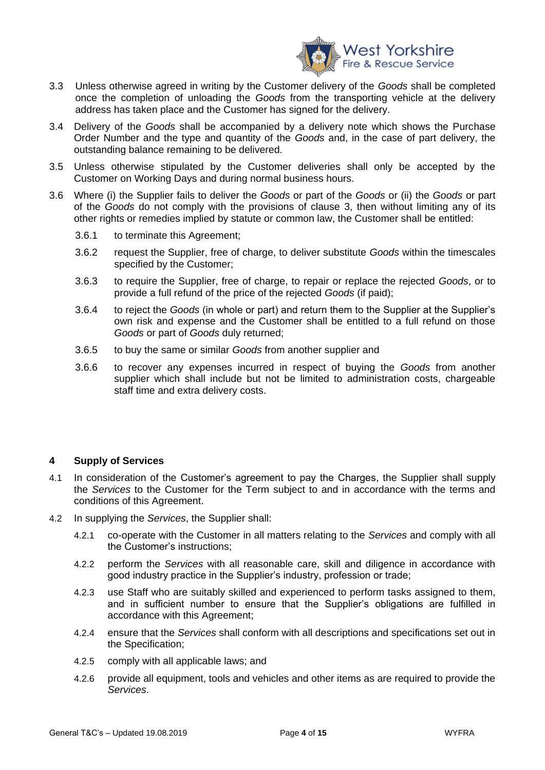

- 3.3 Unless otherwise agreed in writing by the Customer delivery of the *Goods* shall be completed once the completion of unloading the *Goods* from the transporting vehicle at the delivery address has taken place and the Customer has signed for the delivery.
- 3.4 Delivery of the *Goods* shall be accompanied by a delivery note which shows the Purchase Order Number and the type and quantity of the *Goods* and, in the case of part delivery, the outstanding balance remaining to be delivered.
- 3.5 Unless otherwise stipulated by the Customer deliveries shall only be accepted by the Customer on Working Days and during normal business hours.
- 3.6 Where (i) the Supplier fails to deliver the *Goods* or part of the *Goods* or (ii) the *Goods* or part of the *Goods* do not comply with the provisions of clause [3,](#page-2-0) then without limiting any of its other rights or remedies implied by statute or common law, the Customer shall be entitled:
	- 3.6.1 to terminate this Agreement;
	- 3.6.2 request the Supplier, free of charge, to deliver substitute *Goods* within the timescales specified by the Customer;
	- 3.6.3 to require the Supplier, free of charge, to repair or replace the rejected *Goods*, or to provide a full refund of the price of the rejected *Goods* (if paid);
	- 3.6.4 to reject the *Goods* (in whole or part) and return them to the Supplier at the Supplier's own risk and expense and the Customer shall be entitled to a full refund on those *Goods* or part of *Goods* duly returned;
	- 3.6.5 to buy the same or similar *Goods* from another supplier and
	- 3.6.6 to recover any expenses incurred in respect of buying the *Goods* from another supplier which shall include but not be limited to administration costs, chargeable staff time and extra delivery costs.

## **4 Supply of Services**

- 4.1 In consideration of the Customer's agreement to pay the Charges, the Supplier shall supply the *Services* to the Customer for the Term subject to and in accordance with the terms and conditions of this Agreement.
- <span id="page-3-1"></span><span id="page-3-0"></span>4.2 In supplying the *Services*, the Supplier shall:
	- 4.2.1 co-operate with the Customer in all matters relating to the *Services* and comply with all the Customer's instructions;
	- 4.2.2 perform the *Services* with all reasonable care, skill and diligence in accordance with good industry practice in the Supplier's industry, profession or trade;
	- 4.2.3 use Staff who are suitably skilled and experienced to perform tasks assigned to them, and in sufficient number to ensure that the Supplier's obligations are fulfilled in accordance with this Agreement;
	- 4.2.4 ensure that the *Services* shall conform with all descriptions and specifications set out in the Specification;
	- 4.2.5 comply with all applicable laws; and
	- 4.2.6 provide all equipment, tools and vehicles and other items as are required to provide the *Services*.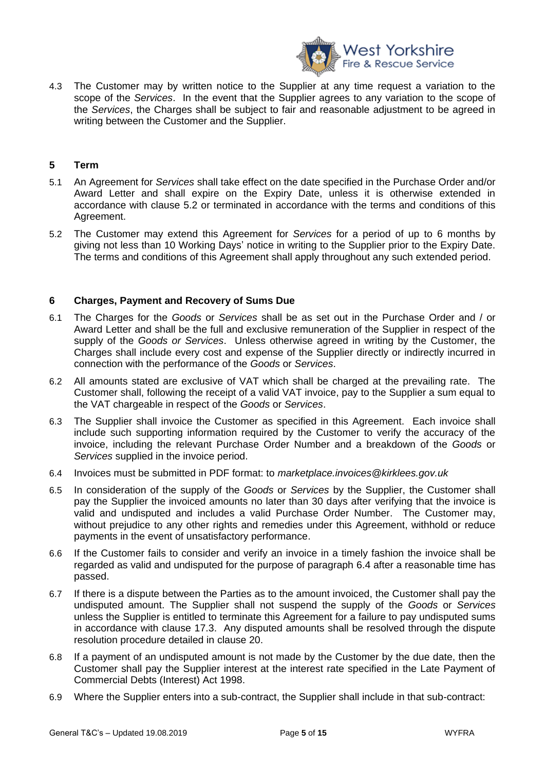

4.3 The Customer may by written notice to the Supplier at any time request a variation to the scope of the *Services*. In the event that the Supplier agrees to any variation to the scope of the *Services*, the Charges shall be subject to fair and reasonable adjustment to be agreed in writing between the Customer and the Supplier.

## **5 Term**

- 5.1 An Agreement for *Services* shall take effect on the date specified in the Purchase Order and/or Award Letter and shall expire on the Expiry Date, unless it is otherwise extended in accordance with clause [5.2](#page-4-0) or terminated in accordance with the terms and conditions of this Agreement.
- <span id="page-4-0"></span>5.2 The Customer may extend this Agreement for *Services* for a period of up to 6 months by giving not less than 10 Working Days' notice in writing to the Supplier prior to the Expiry Date. The terms and conditions of this Agreement shall apply throughout any such extended period.

## **6 Charges, Payment and Recovery of Sums Due**

- 6.1 The Charges for the *Goods* or *Services* shall be as set out in the Purchase Order and / or Award Letter and shall be the full and exclusive remuneration of the Supplier in respect of the supply of the *Goods or Services*. Unless otherwise agreed in writing by the Customer, the Charges shall include every cost and expense of the Supplier directly or indirectly incurred in connection with the performance of the *Goods* or *Services*.
- 6.2 All amounts stated are exclusive of VAT which shall be charged at the prevailing rate. The Customer shall, following the receipt of a valid VAT invoice, pay to the Supplier a sum equal to the VAT chargeable in respect of the *Goods* or *Services*.
- 6.3 The Supplier shall invoice the Customer as specified in this Agreement. Each invoice shall include such supporting information required by the Customer to verify the accuracy of the invoice, including the relevant Purchase Order Number and a breakdown of the *Goods* or *Services* supplied in the invoice period.
- 6.4 Invoices must be submitted in PDF format: to *marketplace.invoices@kirklees.gov.uk*
- 6.5 In consideration of the supply of the *Goods* or *Services* by the Supplier, the Customer shall pay the Supplier the invoiced amounts no later than 30 days after verifying that the invoice is valid and undisputed and includes a valid Purchase Order Number. The Customer may, without prejudice to any other rights and remedies under this Agreement, withhold or reduce payments in the event of unsatisfactory performance.
- 6.6 If the Customer fails to consider and verify an invoice in a timely fashion the invoice shall be regarded as valid and undisputed for the purpose of paragraph 6.4 after a reasonable time has passed.
- 6.7 If there is a dispute between the Parties as to the amount invoiced, the Customer shall pay the undisputed amount. The Supplier shall not suspend the supply of the *Goods* or *Services* unless the Supplier is entitled to terminate this Agreement for a failure to pay undisputed sums in accordance with clause [17.3.](#page-11-0) Any disputed amounts shall be resolved through the dispute resolution procedure detailed in clause 20.
- 6.8 If a payment of an undisputed amount is not made by the Customer by the due date, then the Customer shall pay the Supplier interest at the interest rate specified in the Late Payment of Commercial Debts (Interest) Act 1998.
- 6.9 Where the Supplier enters into a sub-contract, the Supplier shall include in that sub-contract: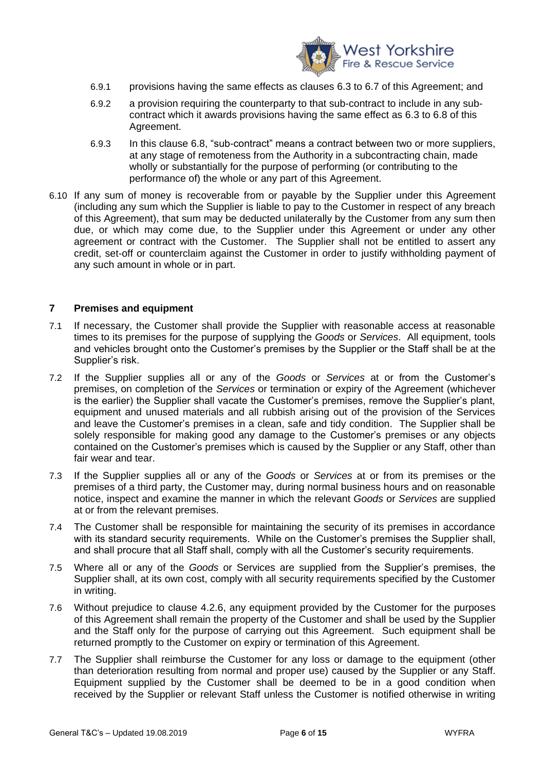

- 6.9.1 provisions having the same effects as clauses 6.3 to 6.7 of this Agreement; and
- 6.9.2 a provision requiring the counterparty to that sub-contract to include in any subcontract which it awards provisions having the same effect as 6.3 to 6.8 of this Agreement.
- 6.9.3 In this clause 6.8, "sub-contract" means a contract between two or more suppliers, at any stage of remoteness from the Authority in a subcontracting chain, made wholly or substantially for the purpose of performing (or contributing to the performance of) the whole or any part of this Agreement.
- 6.10 If any sum of money is recoverable from or payable by the Supplier under this Agreement (including any sum which the Supplier is liable to pay to the Customer in respect of any breach of this Agreement), that sum may be deducted unilaterally by the Customer from any sum then due, or which may come due, to the Supplier under this Agreement or under any other agreement or contract with the Customer. The Supplier shall not be entitled to assert any credit, set-off or counterclaim against the Customer in order to justify withholding payment of any such amount in whole or in part.

#### **7 Premises and equipment**

- <span id="page-5-0"></span>7.1 If necessary, the Customer shall provide the Supplier with reasonable access at reasonable times to its premises for the purpose of supplying the *Goods* or *Services*. All equipment, tools and vehicles brought onto the Customer's premises by the Supplier or the Staff shall be at the Supplier's risk.
- <span id="page-5-1"></span>7.2 If the Supplier supplies all or any of the *Goods* or *Services* at or from the Customer's premises, on completion of the *Services* or termination or expiry of the Agreement (whichever is the earlier) the Supplier shall vacate the Customer's premises, remove the Supplier's plant, equipment and unused materials and all rubbish arising out of the provision of the Services and leave the Customer's premises in a clean, safe and tidy condition. The Supplier shall be solely responsible for making good any damage to the Customer's premises or any objects contained on the Customer's premises which is caused by the Supplier or any Staff, other than fair wear and tear.
- 7.3 If the Supplier supplies all or any of the *Goods* or *Services* at or from its premises or the premises of a third party, the Customer may, during normal business hours and on reasonable notice, inspect and examine the manner in which the relevant *Goods* or *Services* are supplied at or from the relevant premises.
- 7.4 The Customer shall be responsible for maintaining the security of its premises in accordance with its standard security requirements. While on the Customer's premises the Supplier shall, and shall procure that all Staff shall, comply with all the Customer's security requirements.
- 7.5 Where all or any of the *Goods* or Services are supplied from the Supplier's premises, the Supplier shall, at its own cost, comply with all security requirements specified by the Customer in writing.
- <span id="page-5-2"></span>7.6 Without prejudice to clause [4.2.6,](#page-3-0) any equipment provided by the Customer for the purposes of this Agreement shall remain the property of the Customer and shall be used by the Supplier and the Staff only for the purpose of carrying out this Agreement. Such equipment shall be returned promptly to the Customer on expiry or termination of this Agreement.
- <span id="page-5-3"></span>7.7 The Supplier shall reimburse the Customer for any loss or damage to the equipment (other than deterioration resulting from normal and proper use) caused by the Supplier or any Staff. Equipment supplied by the Customer shall be deemed to be in a good condition when received by the Supplier or relevant Staff unless the Customer is notified otherwise in writing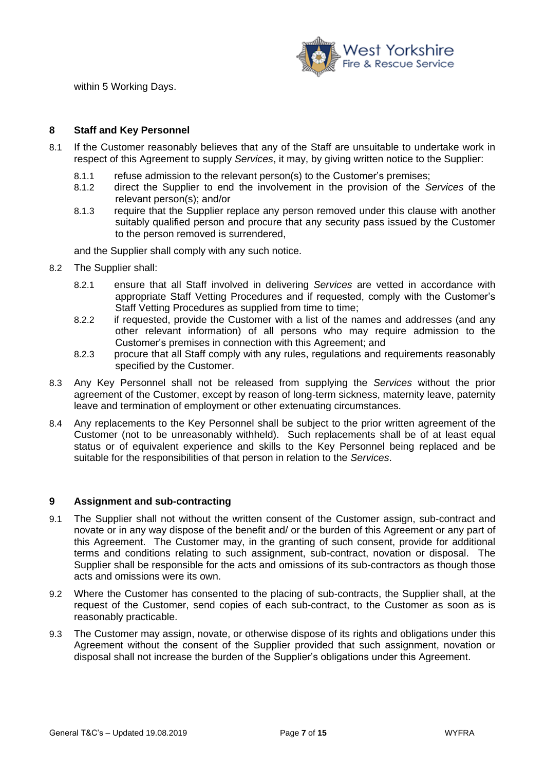

within 5 Working Days.

## **8 Staff and Key Personnel**

- 8.1 If the Customer reasonably believes that any of the Staff are unsuitable to undertake work in respect of this Agreement to supply *Services*, it may, by giving written notice to the Supplier:
	- 8.1.1 refuse admission to the relevant person(s) to the Customer's premises;
	- 8.1.2 direct the Supplier to end the involvement in the provision of the *Services* of the relevant person(s); and/or
	- 8.1.3 require that the Supplier replace any person removed under this clause with another suitably qualified person and procure that any security pass issued by the Customer to the person removed is surrendered,

and the Supplier shall comply with any such notice.

- <span id="page-6-0"></span>8.2 The Supplier shall:
	- 8.2.1 ensure that all Staff involved in delivering *Services* are vetted in accordance with appropriate Staff Vetting Procedures and if requested, comply with the Customer's Staff Vetting Procedures as supplied from time to time;
	- 8.2.2 if requested, provide the Customer with a list of the names and addresses (and any other relevant information) of all persons who may require admission to the Customer's premises in connection with this Agreement; and
	- 8.2.3 procure that all Staff comply with any rules, regulations and requirements reasonably specified by the Customer.
- 8.3 Any Key Personnel shall not be released from supplying the *Services* without the prior agreement of the Customer, except by reason of long-term sickness, maternity leave, paternity leave and termination of employment or other extenuating circumstances.
- 8.4 Any replacements to the Key Personnel shall be subject to the prior written agreement of the Customer (not to be unreasonably withheld). Such replacements shall be of at least equal status or of equivalent experience and skills to the Key Personnel being replaced and be suitable for the responsibilities of that person in relation to the *Services*.

## **9 Assignment and sub-contracting**

- 9.1 The Supplier shall not without the written consent of the Customer assign, sub-contract and novate or in any way dispose of the benefit and/ or the burden of this Agreement or any part of this Agreement. The Customer may, in the granting of such consent, provide for additional terms and conditions relating to such assignment, sub-contract, novation or disposal. The Supplier shall be responsible for the acts and omissions of its sub-contractors as though those acts and omissions were its own.
- 9.2 Where the Customer has consented to the placing of sub-contracts, the Supplier shall, at the request of the Customer, send copies of each sub-contract, to the Customer as soon as is reasonably practicable.
- 9.3 The Customer may assign, novate, or otherwise dispose of its rights and obligations under this Agreement without the consent of the Supplier provided that such assignment, novation or disposal shall not increase the burden of the Supplier's obligations under this Agreement.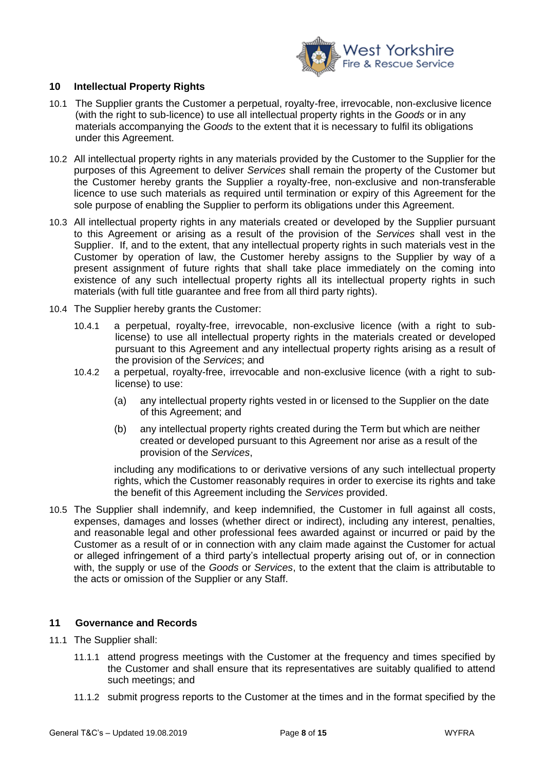

## **10 Intellectual Property Rights**

- 10.1 The Supplier grants the Customer a perpetual, royalty-free, irrevocable, non-exclusive licence (with the right to sub-licence) to use all intellectual property rights in the *Goods* or in any materials accompanying the *Goods* to the extent that it is necessary to fulfil its obligations under this Agreement.
- 10.2 All intellectual property rights in any materials provided by the Customer to the Supplier for the purposes of this Agreement to deliver *Services* shall remain the property of the Customer but the Customer hereby grants the Supplier a royalty-free, non-exclusive and non-transferable licence to use such materials as required until termination or expiry of this Agreement for the sole purpose of enabling the Supplier to perform its obligations under this Agreement.
- 10.3 All intellectual property rights in any materials created or developed by the Supplier pursuant to this Agreement or arising as a result of the provision of the *Services* shall vest in the Supplier. If, and to the extent, that any intellectual property rights in such materials vest in the Customer by operation of law, the Customer hereby assigns to the Supplier by way of a present assignment of future rights that shall take place immediately on the coming into existence of any such intellectual property rights all its intellectual property rights in such materials (with full title guarantee and free from all third party rights).
- 10.4 The Supplier hereby grants the Customer:
	- 10.4.1 a perpetual, royalty-free, irrevocable, non-exclusive licence (with a right to sublicense) to use all intellectual property rights in the materials created or developed pursuant to this Agreement and any intellectual property rights arising as a result of the provision of the *Services*; and
	- 10.4.2 a perpetual, royalty-free, irrevocable and non-exclusive licence (with a right to sublicense) to use:
		- (a) any intellectual property rights vested in or licensed to the Supplier on the date of this Agreement; and
		- (b) any intellectual property rights created during the Term but which are neither created or developed pursuant to this Agreement nor arise as a result of the provision of the *Services*,

including any modifications to or derivative versions of any such intellectual property rights, which the Customer reasonably requires in order to exercise its rights and take the benefit of this Agreement including the *Services* provided.

<span id="page-7-0"></span>10.5 The Supplier shall indemnify, and keep indemnified, the Customer in full against all costs, expenses, damages and losses (whether direct or indirect), including any interest, penalties, and reasonable legal and other professional fees awarded against or incurred or paid by the Customer as a result of or in connection with any claim made against the Customer for actual or alleged infringement of a third party's intellectual property arising out of, or in connection with, the supply or use of the *Goods* or *Services*, to the extent that the claim is attributable to the acts or omission of the Supplier or any Staff.

#### **11 Governance and Records**

- 11.1 The Supplier shall:
	- 11.1.1 attend progress meetings with the Customer at the frequency and times specified by the Customer and shall ensure that its representatives are suitably qualified to attend such meetings; and
	- 11.1.2 submit progress reports to the Customer at the times and in the format specified by the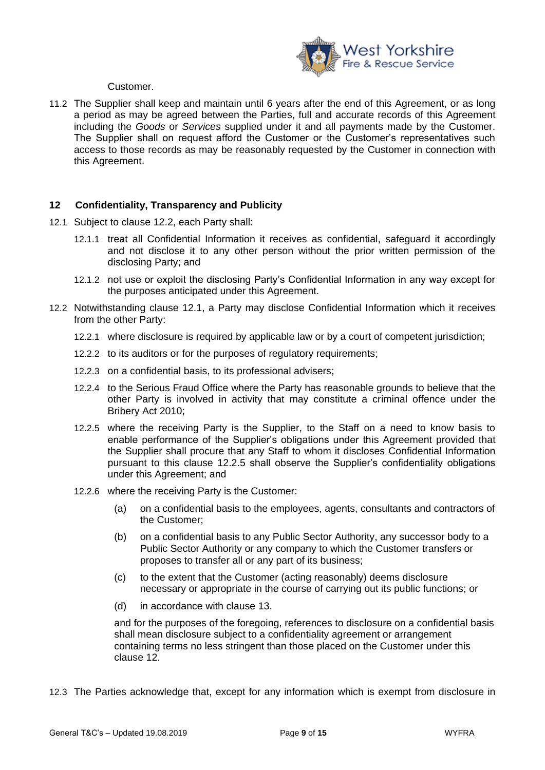

Customer.

<span id="page-8-3"></span>11.2 The Supplier shall keep and maintain until 6 years after the end of this Agreement, or as long a period as may be agreed between the Parties, full and accurate records of this Agreement including the *Goods* or *Services* supplied under it and all payments made by the Customer. The Supplier shall on request afford the Customer or the Customer's representatives such access to those records as may be reasonably requested by the Customer in connection with this Agreement.

## **12 Confidentiality, Transparency and Publicity**

- <span id="page-8-1"></span>12.1 Subject to clause [12.2,](#page-8-0) each Party shall:
	- 12.1.1 treat all Confidential Information it receives as confidential, safeguard it accordingly and not disclose it to any other person without the prior written permission of the disclosing Party; and
	- 12.1.2 not use or exploit the disclosing Party's Confidential Information in any way except for the purposes anticipated under this Agreement.
- <span id="page-8-2"></span><span id="page-8-0"></span>12.2 Notwithstanding clause [12.1,](#page-8-1) a Party may disclose Confidential Information which it receives from the other Party:
	- 12.2.1 where disclosure is required by applicable law or by a court of competent jurisdiction;
	- 12.2.2 to its auditors or for the purposes of regulatory requirements;
	- 12.2.3 on a confidential basis, to its professional advisers;
	- 12.2.4 to the Serious Fraud Office where the Party has reasonable grounds to believe that the other Party is involved in activity that may constitute a criminal offence under the Bribery Act 2010;
	- 12.2.5 where the receiving Party is the Supplier, to the Staff on a need to know basis to enable performance of the Supplier's obligations under this Agreement provided that the Supplier shall procure that any Staff to whom it discloses Confidential Information pursuant to this clause [12.2.5](#page-8-2) shall observe the Supplier's confidentiality obligations under this Agreement; and
	- 12.2.6 where the receiving Party is the Customer:
		- (a) on a confidential basis to the employees, agents, consultants and contractors of the Customer;
		- (b) on a confidential basis to any Public Sector Authority, any successor body to a Public Sector Authority or any company to which the Customer transfers or proposes to transfer all or any part of its business;
		- (c) to the extent that the Customer (acting reasonably) deems disclosure necessary or appropriate in the course of carrying out its public functions; or
		- (d) in accordance with clause 13.

and for the purposes of the foregoing, references to disclosure on a confidential basis shall mean disclosure subject to a confidentiality agreement or arrangement containing terms no less stringent than those placed on the Customer under this clause 12.

12.3 The Parties acknowledge that, except for any information which is exempt from disclosure in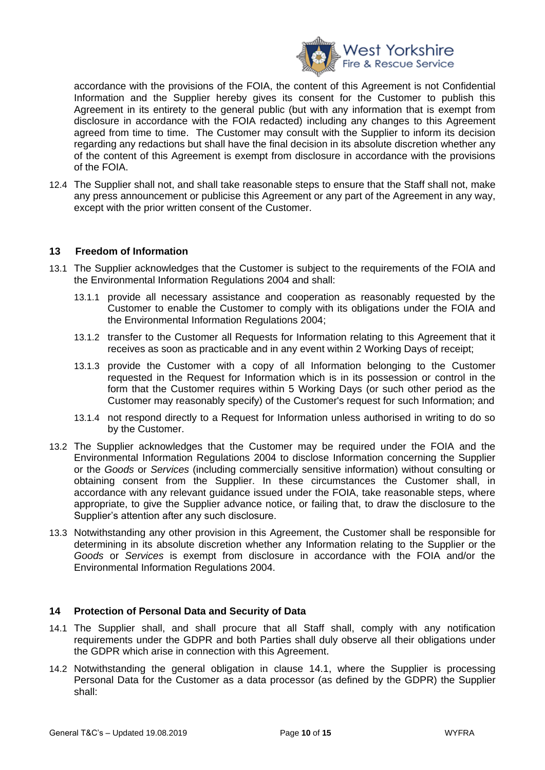

accordance with the provisions of the FOIA, the content of this Agreement is not Confidential Information and the Supplier hereby gives its consent for the Customer to publish this Agreement in its entirety to the general public (but with any information that is exempt from disclosure in accordance with the FOIA redacted) including any changes to this Agreement agreed from time to time. The Customer may consult with the Supplier to inform its decision regarding any redactions but shall have the final decision in its absolute discretion whether any of the content of this Agreement is exempt from disclosure in accordance with the provisions of the FOIA.

12.4 The Supplier shall not, and shall take reasonable steps to ensure that the Staff shall not, make any press announcement or publicise this Agreement or any part of the Agreement in any way, except with the prior written consent of the Customer.

## **13 Freedom of Information**

- 13.1 The Supplier acknowledges that the Customer is subject to the requirements of the FOIA and the Environmental Information Regulations 2004 and shall:
	- 13.1.1 provide all necessary assistance and cooperation as reasonably requested by the Customer to enable the Customer to comply with its obligations under the FOIA and the Environmental Information Regulations 2004;
	- 13.1.2 transfer to the Customer all Requests for Information relating to this Agreement that it receives as soon as practicable and in any event within 2 Working Days of receipt;
	- 13.1.3 provide the Customer with a copy of all Information belonging to the Customer requested in the Request for Information which is in its possession or control in the form that the Customer requires within 5 Working Days (or such other period as the Customer may reasonably specify) of the Customer's request for such Information; and
	- 13.1.4 not respond directly to a Request for Information unless authorised in writing to do so by the Customer.
- 13.2 The Supplier acknowledges that the Customer may be required under the FOIA and the Environmental Information Regulations 2004 to disclose Information concerning the Supplier or the *Goods* or *Services* (including commercially sensitive information) without consulting or obtaining consent from the Supplier. In these circumstances the Customer shall, in accordance with any relevant guidance issued under the FOIA, take reasonable steps, where appropriate, to give the Supplier advance notice, or failing that, to draw the disclosure to the Supplier's attention after any such disclosure.
- 13.3 Notwithstanding any other provision in this Agreement, the Customer shall be responsible for determining in its absolute discretion whether any Information relating to the Supplier or the *Goods* or *Services* is exempt from disclosure in accordance with the FOIA and/or the Environmental Information Regulations 2004.

#### **14 Protection of Personal Data and Security of Data**

- <span id="page-9-0"></span>14.1 The Supplier shall, and shall procure that all Staff shall, comply with any notification requirements under the GDPR and both Parties shall duly observe all their obligations under the GDPR which arise in connection with this Agreement.
- 14.2 Notwithstanding the general obligation in clause [14.1,](#page-9-0) where the Supplier is processing Personal Data for the Customer as a data processor (as defined by the GDPR) the Supplier shall: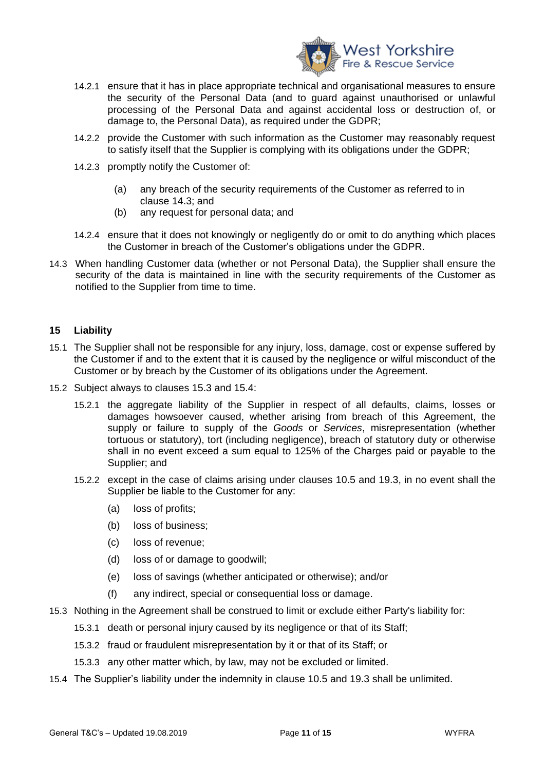

- 14.2.1 ensure that it has in place appropriate technical and organisational measures to ensure the security of the Personal Data (and to guard against unauthorised or unlawful processing of the Personal Data and against accidental loss or destruction of, or damage to, the Personal Data), as required under the GDPR;
- 14.2.2 provide the Customer with such information as the Customer may reasonably request to satisfy itself that the Supplier is complying with its obligations under the GDPR;
- 14.2.3 promptly notify the Customer of:
	- (a) any breach of the security requirements of the Customer as referred to in clause [14.3;](#page-10-0) and
	- (b) any request for personal data; and
- 14.2.4 ensure that it does not knowingly or negligently do or omit to do anything which places the Customer in breach of the Customer's obligations under the GDPR.
- <span id="page-10-0"></span>14.3 When handling Customer data (whether or not Personal Data), the Supplier shall ensure the security of the data is maintained in line with the security requirements of the Customer as notified to the Supplier from time to time.

## **15 Liability**

- 15.1 The Supplier shall not be responsible for any injury, loss, damage, cost or expense suffered by the Customer if and to the extent that it is caused by the negligence or wilful misconduct of the Customer or by breach by the Customer of its obligations under the Agreement.
- 15.2 Subject always to clauses [15.3](#page-10-1) and [15.4:](#page-10-2)
	- 15.2.1 the aggregate liability of the Supplier in respect of all defaults, claims, losses or damages howsoever caused, whether arising from breach of this Agreement, the supply or failure to supply of the *Goods* or *Services*, misrepresentation (whether tortuous or statutory), tort (including negligence), breach of statutory duty or otherwise shall in no event exceed a sum equal to 125% of the Charges paid or payable to the Supplier; and
	- 15.2.2 except in the case of claims arising under clauses [10.5](#page-7-0) and [19.3,](#page-13-0) in no event shall the Supplier be liable to the Customer for any:
		- (a) loss of profits;
		- (b) loss of business;
		- (c) loss of revenue;
		- (d) loss of or damage to goodwill;
		- (e) loss of savings (whether anticipated or otherwise); and/or
		- (f) any indirect, special or consequential loss or damage.
- <span id="page-10-1"></span>15.3 Nothing in the Agreement shall be construed to limit or exclude either Party's liability for:
	- 15.3.1 death or personal injury caused by its negligence or that of its Staff;
	- 15.3.2 fraud or fraudulent misrepresentation by it or that of its Staff; or
	- 15.3.3 any other matter which, by law, may not be excluded or limited.
- <span id="page-10-2"></span>15.4 The Supplier's liability under the indemnity in clause [10.5](#page-7-0) and [19.3](#page-13-0) shall be unlimited.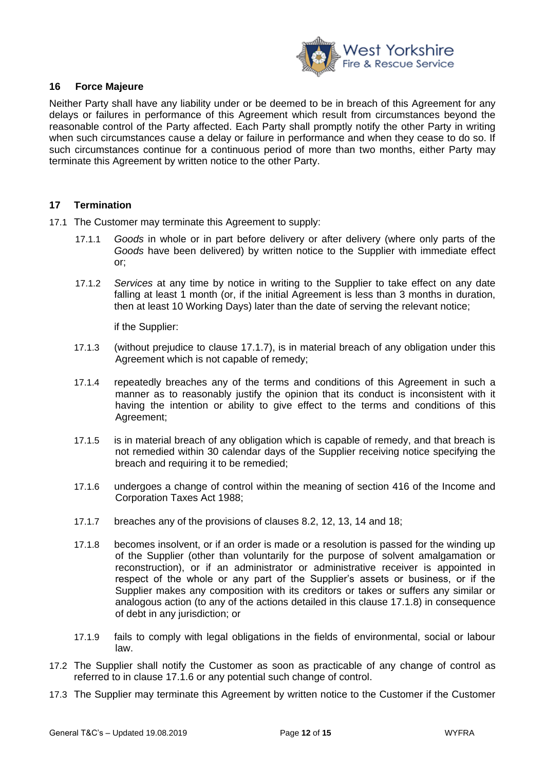

## **16 Force Majeure**

Neither Party shall have any liability under or be deemed to be in breach of this Agreement for any delays or failures in performance of this Agreement which result from circumstances beyond the reasonable control of the Party affected. Each Party shall promptly notify the other Party in writing when such circumstances cause a delay or failure in performance and when they cease to do so. If such circumstances continue for a continuous period of more than two months, either Party may terminate this Agreement by written notice to the other Party.

## **17 Termination**

- 17.1 The Customer may terminate this Agreement to supply:
	- 17.1.1 *Goods* in whole or in part before delivery or after delivery (where only parts of the *Goods* have been delivered) by written notice to the Supplier with immediate effect or;
	- 17.1.2 *Services* at any time by notice in writing to the Supplier to take effect on any date falling at least 1 month (or, if the initial Agreement is less than 3 months in duration, then at least 10 Working Days) later than the date of serving the relevant notice;

if the Supplier:

- 17.1.3 (without prejudice to clause [17.1.7\)](#page-11-1), is in material breach of any obligation under this Agreement which is not capable of remedy;
- 17.1.4 repeatedly breaches any of the terms and conditions of this Agreement in such a manner as to reasonably justify the opinion that its conduct is inconsistent with it having the intention or ability to give effect to the terms and conditions of this Agreement;
- 17.1.5 is in material breach of any obligation which is capable of remedy, and that breach is not remedied within 30 calendar days of the Supplier receiving notice specifying the breach and requiring it to be remedied;
- <span id="page-11-3"></span>17.1.6 undergoes a change of control within the meaning of section 416 of the Income and Corporation Taxes Act 1988;
- <span id="page-11-1"></span>17.1.7 breaches any of the provisions of clauses [8.2,](#page-6-0) 12, 13, 14 and 18;
- <span id="page-11-2"></span>17.1.8 becomes insolvent, or if an order is made or a resolution is passed for the winding up of the Supplier (other than voluntarily for the purpose of solvent amalgamation or reconstruction), or if an administrator or administrative receiver is appointed in respect of the whole or any part of the Supplier's assets or business, or if the Supplier makes any composition with its creditors or takes or suffers any similar or analogous action (to any of the actions detailed in this clause [17.1.8\)](#page-11-2) in consequence of debt in any jurisdiction; or
- 17.1.9 fails to comply with legal obligations in the fields of environmental, social or labour law.
- 17.2 The Supplier shall notify the Customer as soon as practicable of any change of control as referred to in clause [17.1.6](#page-11-3) or any potential such change of control.
- <span id="page-11-0"></span>17.3 The Supplier may terminate this Agreement by written notice to the Customer if the Customer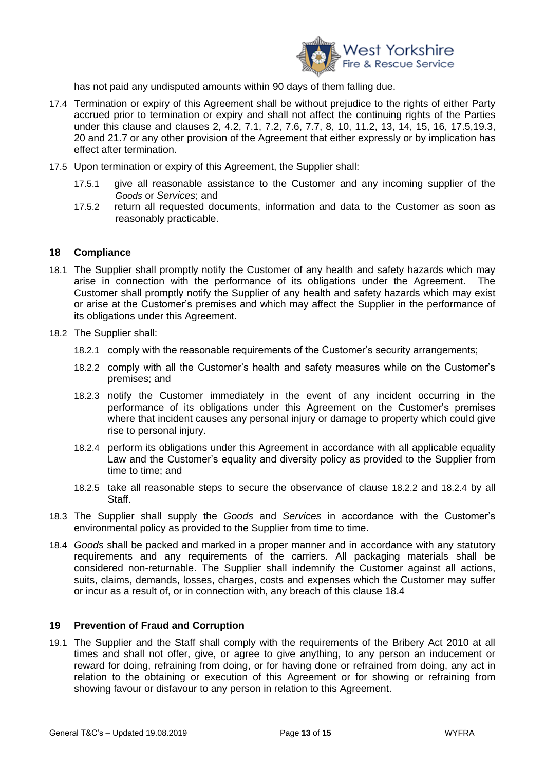

has not paid any undisputed amounts within 90 days of them falling due.

- 17.4 Termination or expiry of this Agreement shall be without prejudice to the rights of either Party accrued prior to termination or expiry and shall not affect the continuing rights of the Parties under this clause and clauses [2,](#page-2-1) [4.2,](#page-3-1) [7.1,](#page-5-0) [7.2,](#page-5-1) [7.6,](#page-5-2) [7.7,](#page-5-3) 8, 10, [11.2,](#page-8-3) 13, 14, 15, 16, [17.5,](#page-12-0)[19.3,](#page-13-0) 20 and [21.7](#page-14-0) or any other provision of the Agreement that either expressly or by implication has effect after termination.
- <span id="page-12-0"></span>17.5 Upon termination or expiry of this Agreement, the Supplier shall:
	- 17.5.1 give all reasonable assistance to the Customer and any incoming supplier of the *Goods* or *Services*; and
	- 17.5.2 return all requested documents, information and data to the Customer as soon as reasonably practicable.

## **18 Compliance**

- 18.1 The Supplier shall promptly notify the Customer of any health and safety hazards which may arise in connection with the performance of its obligations under the Agreement. The Customer shall promptly notify the Supplier of any health and safety hazards which may exist or arise at the Customer's premises and which may affect the Supplier in the performance of its obligations under this Agreement.
- 18.2 The Supplier shall:
	- 18.2.1 comply with the reasonable requirements of the Customer's security arrangements;
	- 18.2.2 comply with all the Customer's health and safety measures while on the Customer's premises; and
	- 18.2.3 notify the Customer immediately in the event of any incident occurring in the performance of its obligations under this Agreement on the Customer's premises where that incident causes any personal injury or damage to property which could give rise to personal injury.
	- 18.2.4 perform its obligations under this Agreement in accordance with all applicable equality Law and the Customer's equality and diversity policy as provided to the Supplier from time to time; and
	- 18.2.5 take all reasonable steps to secure the observance of clause 18.2.2 and 18.2.4 by all **Staff**
- 18.3 The Supplier shall supply the *Goods* and *Services* in accordance with the Customer's environmental policy as provided to the Supplier from time to time.
- 18.4 *Goods* shall be packed and marked in a proper manner and in accordance with any statutory requirements and any requirements of the carriers. All packaging materials shall be considered non-returnable. The Supplier shall indemnify the Customer against all actions, suits, claims, demands, losses, charges, costs and expenses which the Customer may suffer or incur as a result of, or in connection with, any breach of this clause 18.4

## **19 Prevention of Fraud and Corruption**

<span id="page-12-1"></span>19.1 The Supplier and the Staff shall comply with the requirements of the Bribery Act 2010 at all times and shall not offer, give, or agree to give anything, to any person an inducement or reward for doing, refraining from doing, or for having done or refrained from doing, any act in relation to the obtaining or execution of this Agreement or for showing or refraining from showing favour or disfavour to any person in relation to this Agreement.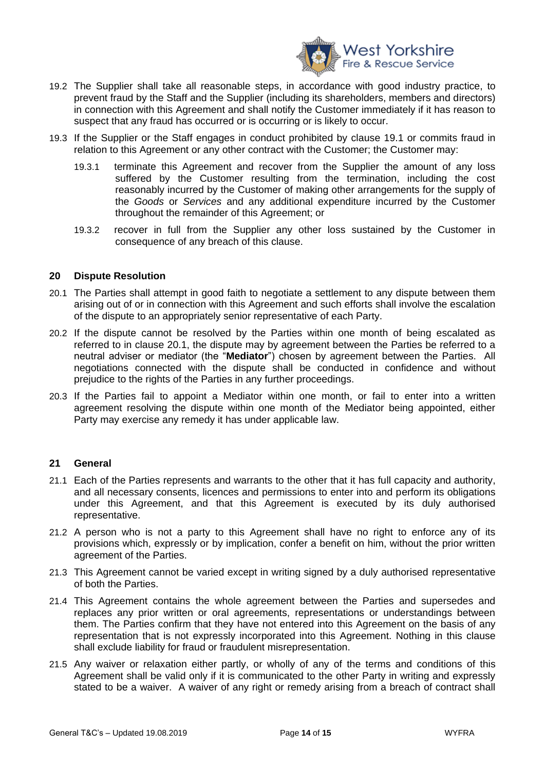

- 19.2 The Supplier shall take all reasonable steps, in accordance with good industry practice, to prevent fraud by the Staff and the Supplier (including its shareholders, members and directors) in connection with this Agreement and shall notify the Customer immediately if it has reason to suspect that any fraud has occurred or is occurring or is likely to occur.
- <span id="page-13-0"></span>19.3 If the Supplier or the Staff engages in conduct prohibited by clause [19.1](#page-12-1) or commits fraud in relation to this Agreement or any other contract with the Customer; the Customer may:
	- 19.3.1 terminate this Agreement and recover from the Supplier the amount of any loss suffered by the Customer resulting from the termination, including the cost reasonably incurred by the Customer of making other arrangements for the supply of the *Goods* or *Services* and any additional expenditure incurred by the Customer throughout the remainder of this Agreement; or
	- 19.3.2 recover in full from the Supplier any other loss sustained by the Customer in consequence of any breach of this clause.

#### **20 Dispute Resolution**

- <span id="page-13-1"></span>20.1 The Parties shall attempt in good faith to negotiate a settlement to any dispute between them arising out of or in connection with this Agreement and such efforts shall involve the escalation of the dispute to an appropriately senior representative of each Party.
- 20.2 If the dispute cannot be resolved by the Parties within one month of being escalated as referred to in clause [20.1,](#page-13-1) the dispute may by agreement between the Parties be referred to a neutral adviser or mediator (the "**Mediator**") chosen by agreement between the Parties. All negotiations connected with the dispute shall be conducted in confidence and without prejudice to the rights of the Parties in any further proceedings.
- 20.3 If the Parties fail to appoint a Mediator within one month, or fail to enter into a written agreement resolving the dispute within one month of the Mediator being appointed, either Party may exercise any remedy it has under applicable law.

#### **21 General**

- 21.1 Each of the Parties represents and warrants to the other that it has full capacity and authority, and all necessary consents, licences and permissions to enter into and perform its obligations under this Agreement, and that this Agreement is executed by its duly authorised representative.
- 21.2 A person who is not a party to this Agreement shall have no right to enforce any of its provisions which, expressly or by implication, confer a benefit on him, without the prior written agreement of the Parties.
- 21.3 This Agreement cannot be varied except in writing signed by a duly authorised representative of both the Parties.
- 21.4 This Agreement contains the whole agreement between the Parties and supersedes and replaces any prior written or oral agreements, representations or understandings between them. The Parties confirm that they have not entered into this Agreement on the basis of any representation that is not expressly incorporated into this Agreement. Nothing in this clause shall exclude liability for fraud or fraudulent misrepresentation.
- 21.5 Any waiver or relaxation either partly, or wholly of any of the terms and conditions of this Agreement shall be valid only if it is communicated to the other Party in writing and expressly stated to be a waiver. A waiver of any right or remedy arising from a breach of contract shall